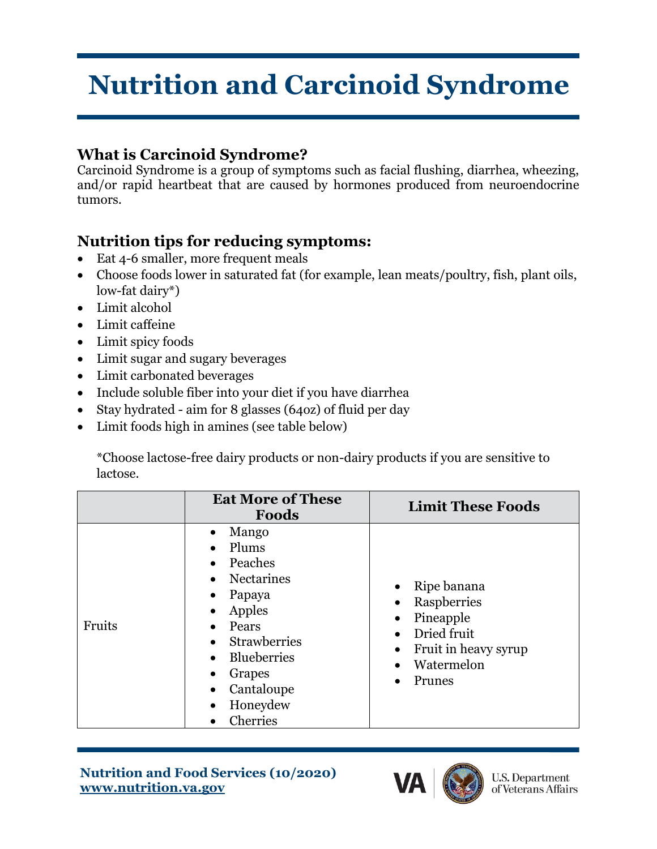## **Nutrition and Carcinoid Syndrome**

## **What is Carcinoid Syndrome?**

Carcinoid Syndrome is a group of symptoms such as facial flushing, diarrhea, wheezing, and/or rapid heartbeat that are caused by hormones produced from neuroendocrine tumors.

## **Nutrition tips for reducing symptoms:**

- Eat 4-6 smaller, more frequent meals
- Choose foods lower in saturated fat (for example, lean meats/poultry, fish, plant oils, low-fat dairy\*)
- Limit alcohol
- Limit caffeine
- Limit spicy foods
- Limit sugar and sugary beverages
- Limit carbonated beverages
- Include soluble fiber into your diet if you have diarrhea
- Stay hydrated aim for 8 glasses (64oz) of fluid per day
- Limit foods high in amines (see table below)

\*Choose lactose-free dairy products or non-dairy products if you are sensitive to lactose.

|        | <b>Eat More of These</b><br>Foods                                                                                                                                 | <b>Limit These Foods</b>                                                                                    |
|--------|-------------------------------------------------------------------------------------------------------------------------------------------------------------------|-------------------------------------------------------------------------------------------------------------|
| Fruits | Mango<br>Plums<br>Peaches<br>Nectarines<br>Papaya<br>Apples<br>Pears<br><b>Strawberries</b><br><b>Blueberries</b><br>Grapes<br>Cantaloupe<br>Honeydew<br>Cherries | Ripe banana<br>Raspberries<br>٠<br>Pineapple<br>Dried fruit<br>Fruit in heavy syrup<br>Watermelon<br>Prunes |

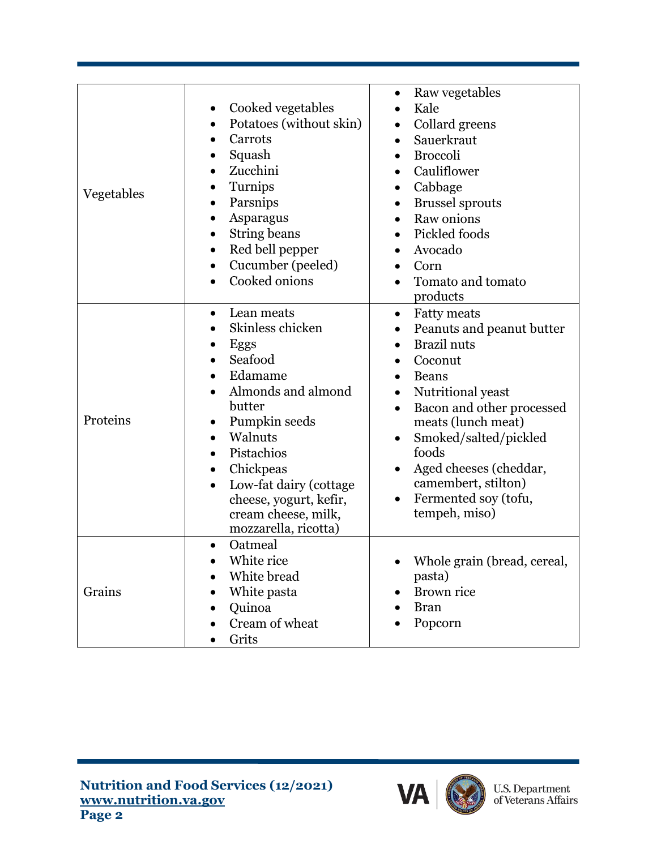| Vegetables | Cooked vegetables<br>$\bullet$<br>Potatoes (without skin)<br>Carrots<br>Squash<br>Zucchini<br>$\bullet$<br>Turnips<br>Parsnips<br>Asparagus<br>$\bullet$<br>String beans<br>$\bullet$<br>Red bell pepper<br>$\bullet$<br>Cucumber (peeled)<br>$\bullet$<br>Cooked onions                      | Raw vegetables<br>$\bullet$<br>Kale<br>Collard greens<br>$\bullet$<br>Sauerkraut<br>$\bullet$<br><b>Broccoli</b><br>$\bullet$<br>Cauliflower<br>$\bullet$<br>Cabbage<br>$\bullet$<br><b>Brussel sprouts</b><br>$\bullet$<br>Raw onions<br>$\bullet$<br>Pickled foods<br>Avocado<br>Corn<br>Tomato and tomato<br>$\bullet$<br>products                                                                 |
|------------|-----------------------------------------------------------------------------------------------------------------------------------------------------------------------------------------------------------------------------------------------------------------------------------------------|-------------------------------------------------------------------------------------------------------------------------------------------------------------------------------------------------------------------------------------------------------------------------------------------------------------------------------------------------------------------------------------------------------|
| Proteins   | Lean meats<br>$\bullet$<br>Skinless chicken<br>Eggs<br>Seafood<br>Edamame<br>Almonds and almond<br>butter<br>Pumpkin seeds<br>Walnuts<br>$\bullet$<br>Pistachios<br>Chickpeas<br>$\bullet$<br>Low-fat dairy (cottage<br>cheese, yogurt, kefir,<br>cream cheese, milk,<br>mozzarella, ricotta) | <b>Fatty meats</b><br>$\bullet$<br>Peanuts and peanut butter<br>$\bullet$<br><b>Brazil</b> nuts<br>$\bullet$<br>Coconut<br>$\bullet$<br>Beans<br>$\bullet$<br>Nutritional yeast<br>$\bullet$<br>Bacon and other processed<br>$\bullet$<br>meats (lunch meat)<br>Smoked/salted/pickled<br>foods<br>Aged cheeses (cheddar,<br>$\bullet$<br>camembert, stilton)<br>Fermented soy (tofu,<br>tempeh, miso) |
| Grains     | Oatmeal<br>$\bullet$<br>White rice<br>White bread<br>White pasta<br>Quinoa<br>Cream of wheat<br>Grits                                                                                                                                                                                         | Whole grain (bread, cereal,<br>pasta)<br>Brown rice<br><b>Bran</b><br>Popcorn                                                                                                                                                                                                                                                                                                                         |